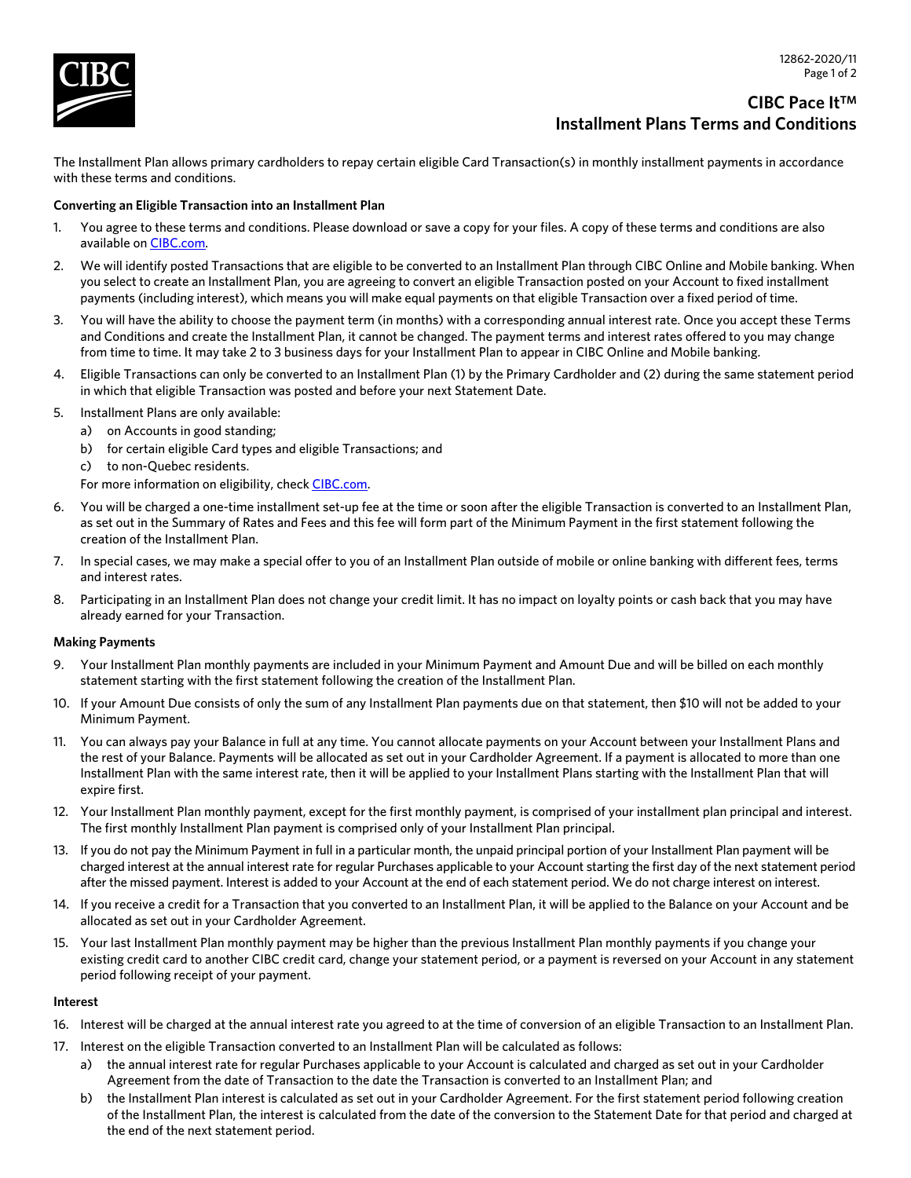

# **CIBC Pace ItTM Installment Plans Terms and Conditions**

The Installment Plan allows primary cardholders to repay certain eligible Card Transaction(s) in monthly installment payments in accordance with these terms and conditions.

# **Converting an Eligible Transaction into an Installment Plan**

- 1. You agree to these terms and conditions. Please download or save a copy for your files. A copy of these terms and conditions are also available on [CIBC.com](https://www.cibc.com/en/personal-banking/credit-cards/manage/installment-plans.html#termsandconditions).
- 2. We will identify posted Transactions that are eligible to be converted to an Installment Plan through CIBC Online and Mobile banking. When you select to create an Installment Plan, you are agreeing to convert an eligible Transaction posted on your Account to fixed installment payments (including interest), which means you will make equal payments on that eligible Transaction over a fixed period of time.
- 3. You will have the ability to choose the payment term (in months) with a corresponding annual interest rate. Once you accept these Terms and Conditions and create the Installment Plan, it cannot be changed. The payment terms and interest rates offered to you may change from time to time. It may take 2 to 3 business days for your Installment Plan to appear in CIBC Online and Mobile banking.
- 4. Eligible Transactions can only be converted to an Installment Plan (1) by the Primary Cardholder and (2) during the same statement period in which that eligible Transaction was posted and before your next Statement Date.
- 5. Installment Plans are only available:
	- a) on Accounts in good standing;
	- b) for certain eligible Card types and eligible Transactions; and
	- c) to non-Quebec residents.
	- For more information on eligibility, check [CIBC.com](https://www.cibc.com/en/personal-banking/credit-cards/manage/installment-plans.html#faq).
- 6. You will be charged a one-time installment set-up fee at the time or soon after the eligible Transaction is converted to an Installment Plan, as set out in the Summary of Rates and Fees and this fee will form part of the Minimum Payment in the first statement following the creation of the Installment Plan.
- 7. In special cases, we may make a special offer to you of an Installment Plan outside of mobile or online banking with different fees, terms and interest rates.
- 8. Participating in an Installment Plan does not change your credit limit. It has no impact on loyalty points or cash back that you may have already earned for your Transaction.

## **Making Payments**

- 9. Your Installment Plan monthly payments are included in your Minimum Payment and Amount Due and will be billed on each monthly statement starting with the first statement following the creation of the Installment Plan.
- 10. If your Amount Due consists of only the sum of any Installment Plan payments due on that statement, then \$10 will not be added to your Minimum Payment.
- 11. You can always pay your Balance in full at any time. You cannot allocate payments on your Account between your Installment Plans and the rest of your Balance. Payments will be allocated as set out in your Cardholder Agreement. If a payment is allocated to more than one Installment Plan with the same interest rate, then it will be applied to your Installment Plans starting with the Installment Plan that will expire first.
- 12. Your Installment Plan monthly payment, except for the first monthly payment, is comprised of your installment plan principal and interest. The first monthly Installment Plan payment is comprised only of your Installment Plan principal.
- 13. If you do not pay the Minimum Payment in full in a particular month, the unpaid principal portion of your Installment Plan payment will be charged interest at the annual interest rate for regular Purchases applicable to your Account starting the first day of the next statement period after the missed payment. Interest is added to your Account at the end of each statement period. We do not charge interest on interest.
- 14. If you receive a credit for a Transaction that you converted to an Installment Plan, it will be applied to the Balance on your Account and be allocated as set out in your Cardholder Agreement.
- 15. Your last Installment Plan monthly payment may be higher than the previous Installment Plan monthly payments if you change your existing credit card to another CIBC credit card, change your statement period, or a payment is reversed on your Account in any statement period following receipt of your payment.

## **Interest**

- 16. Interest will be charged at the annual interest rate you agreed to at the time of conversion of an eligible Transaction to an Installment Plan.
- 17. Interest on the eligible Transaction converted to an Installment Plan will be calculated as follows:
	- a) the annual interest rate for regular Purchases applicable to your Account is calculated and charged as set out in your Cardholder Agreement from the date of Transaction to the date the Transaction is converted to an Installment Plan; and
	- b) the Installment Plan interest is calculated as set out in your Cardholder Agreement. For the first statement period following creation of the Installment Plan, the interest is calculated from the date of the conversion to the Statement Date for that period and charged at the end of the next statement period.